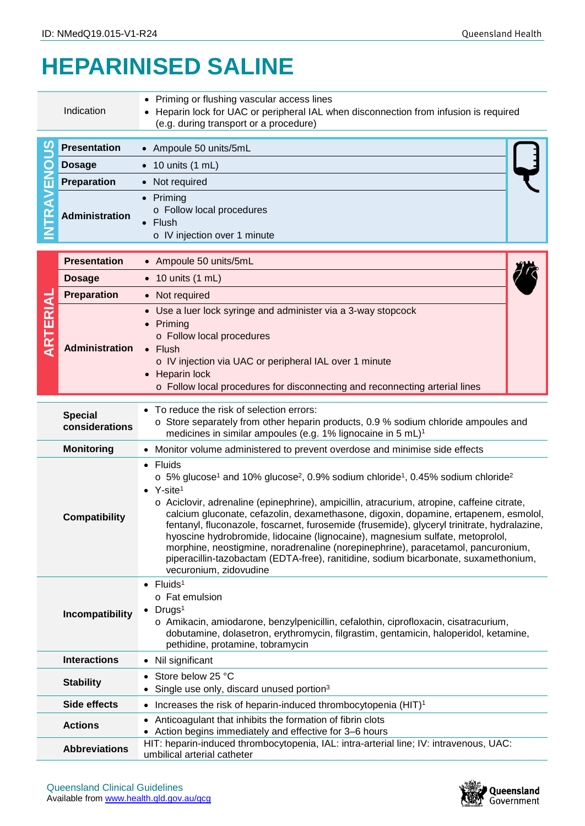## **HEPARINISED SALINE**

|              | Indication                                                                                                                                    | • Priming or flushing vascular access lines<br>• Heparin lock for UAC or peripheral IAL when disconnection from infusion is required<br>(e.g. during transport or a procedure)                                                                                                                                                                                                                                                                                                                                                                                                                                                                                                                                                                               |  |  |  |  |
|--------------|-----------------------------------------------------------------------------------------------------------------------------------------------|--------------------------------------------------------------------------------------------------------------------------------------------------------------------------------------------------------------------------------------------------------------------------------------------------------------------------------------------------------------------------------------------------------------------------------------------------------------------------------------------------------------------------------------------------------------------------------------------------------------------------------------------------------------------------------------------------------------------------------------------------------------|--|--|--|--|
|              | <b>Presentation</b>                                                                                                                           | • Ampoule 50 units/5mL                                                                                                                                                                                                                                                                                                                                                                                                                                                                                                                                                                                                                                                                                                                                       |  |  |  |  |
| O            | <b>Dosage</b>                                                                                                                                 | $\bullet$ 10 units (1 mL)                                                                                                                                                                                                                                                                                                                                                                                                                                                                                                                                                                                                                                                                                                                                    |  |  |  |  |
| 곥            | Preparation                                                                                                                                   | • Not required                                                                                                                                                                                                                                                                                                                                                                                                                                                                                                                                                                                                                                                                                                                                               |  |  |  |  |
| <b>RAVI</b>  | <b>Administration</b>                                                                                                                         | Priming<br>o Follow local procedures<br>Flush<br>o IV injection over 1 minute                                                                                                                                                                                                                                                                                                                                                                                                                                                                                                                                                                                                                                                                                |  |  |  |  |
|              | <b>Presentation</b>                                                                                                                           | • Ampoule 50 units/5mL                                                                                                                                                                                                                                                                                                                                                                                                                                                                                                                                                                                                                                                                                                                                       |  |  |  |  |
|              | <b>Dosage</b>                                                                                                                                 | $\bullet$ 10 units (1 mL)                                                                                                                                                                                                                                                                                                                                                                                                                                                                                                                                                                                                                                                                                                                                    |  |  |  |  |
|              | <b>Preparation</b>                                                                                                                            | • Not required                                                                                                                                                                                                                                                                                                                                                                                                                                                                                                                                                                                                                                                                                                                                               |  |  |  |  |
| ARTERIAL     | Administration                                                                                                                                | • Use a luer lock syringe and administer via a 3-way stopcock<br>Priming<br>o Follow local procedures<br>$\bullet$ Flush<br>o IV injection via UAC or peripheral IAL over 1 minute<br>• Heparin lock<br>o Follow local procedures for disconnecting and reconnecting arterial lines                                                                                                                                                                                                                                                                                                                                                                                                                                                                          |  |  |  |  |
|              | <b>Special</b><br>considerations                                                                                                              | • To reduce the risk of selection errors:<br>$\circ$ Store separately from other heparin products, 0.9 % sodium chloride ampoules and<br>medicines in similar ampoules (e.g. $1\%$ lignocaine in 5 mL) <sup>1</sup>                                                                                                                                                                                                                                                                                                                                                                                                                                                                                                                                          |  |  |  |  |
|              | <b>Monitoring</b><br>• Monitor volume administered to prevent overdose and minimise side effects                                              |                                                                                                                                                                                                                                                                                                                                                                                                                                                                                                                                                                                                                                                                                                                                                              |  |  |  |  |
|              | <b>Compatibility</b>                                                                                                                          | • Fluids<br>$\circ$ 5% glucose <sup>1</sup> and 10% glucose <sup>2</sup> , 0.9% sodium chloride <sup>1</sup> , 0.45% sodium chloride <sup>2</sup><br>$\bullet$ Y-site <sup>1</sup><br>o Aciclovir, adrenaline (epinephrine), ampicillin, atracurium, atropine, caffeine citrate,<br>calcium gluconate, cefazolin, dexamethasone, digoxin, dopamine, ertapenem, esmolol,<br>fentanyl, fluconazole, foscarnet, furosemide (frusemide), glyceryl trinitrate, hydralazine,<br>hyoscine hydrobromide, lidocaine (lignocaine), magnesium sulfate, metoprolol,<br>morphine, neostigmine, noradrenaline (norepinephrine), paracetamol, pancuronium,<br>piperacillin-tazobactam (EDTA-free), ranitidine, sodium bicarbonate, suxamethonium,<br>vecuronium, zidovudine |  |  |  |  |
|              | Incompatibility                                                                                                                               | $\bullet$ Fluids <sup>1</sup><br>o Fat emulsion<br>$\bullet$ Drugs <sup>1</sup><br>o Amikacin, amiodarone, benzylpenicillin, cefalothin, ciprofloxacin, cisatracurium,<br>dobutamine, dolasetron, erythromycin, filgrastim, gentamicin, haloperidol, ketamine,<br>pethidine, protamine, tobramycin                                                                                                                                                                                                                                                                                                                                                                                                                                                           |  |  |  |  |
|              | <b>Interactions</b>                                                                                                                           | • Nil significant                                                                                                                                                                                                                                                                                                                                                                                                                                                                                                                                                                                                                                                                                                                                            |  |  |  |  |
|              | <b>Stability</b>                                                                                                                              | Store below 25 °C<br>Single use only, discard unused portion <sup>3</sup>                                                                                                                                                                                                                                                                                                                                                                                                                                                                                                                                                                                                                                                                                    |  |  |  |  |
| Side effects |                                                                                                                                               | • Increases the risk of heparin-induced thrombocytopenia $(HIT)^1$                                                                                                                                                                                                                                                                                                                                                                                                                                                                                                                                                                                                                                                                                           |  |  |  |  |
|              | Anticoagulant that inhibits the formation of fibrin clots<br><b>Actions</b><br>Action begins immediately and effective for 3-6 hours          |                                                                                                                                                                                                                                                                                                                                                                                                                                                                                                                                                                                                                                                                                                                                                              |  |  |  |  |
|              | HIT: heparin-induced thrombocytopenia, IAL: intra-arterial line; IV: intravenous, UAC:<br><b>Abbreviations</b><br>umbilical arterial catheter |                                                                                                                                                                                                                                                                                                                                                                                                                                                                                                                                                                                                                                                                                                                                                              |  |  |  |  |